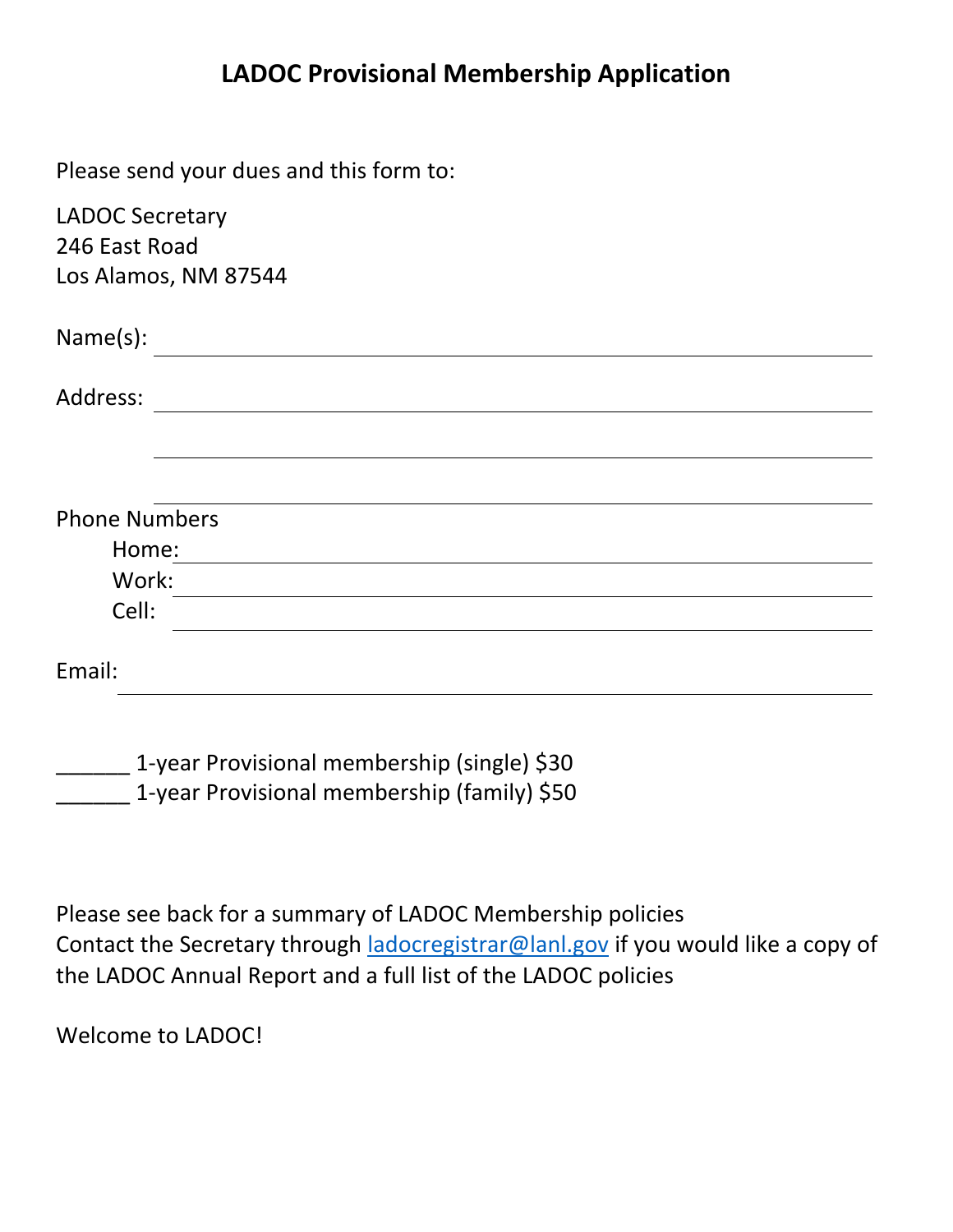# **LADOC Provisional Membership Application**

Please send your dues and this form to:

| <b>LADOC Secretary</b> |  |
|------------------------|--|
| 246 East Road          |  |
| Los Alamos, NM 87544   |  |
| Name(s):               |  |
| Address:               |  |
|                        |  |
|                        |  |
| <b>Phone Numbers</b>   |  |
| Home:                  |  |
| Work:                  |  |
| Cell:                  |  |
| Email:                 |  |
|                        |  |

1-year Provisional membership (single) \$30 1-year Provisional membership (family) \$50

Please see back for a summary of LADOC Membership policies Contact the Secretary through [ladocregistrar@lanl.gov](mailto:ladocregistrar@lanl.gov) if you would like a copy of the LADOC Annual Report and a full list of the LADOC policies

Welcome to LADOC!